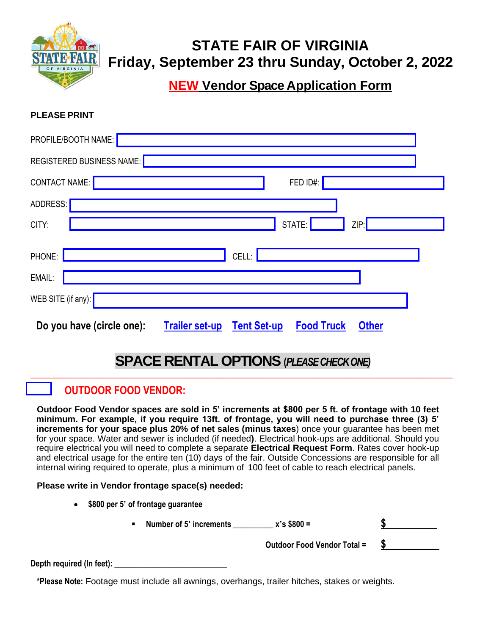

# **STATE FAIR OF VIRGINIA Friday, September 23 thru Sunday, October 2, 2022**

**NEW Vendor Space Application Form**

**PLEASE PRINT**

| PROFILE/BOOTH NAME:                                                                                           |
|---------------------------------------------------------------------------------------------------------------|
| <b>REGISTERED BUSINESS NAME:</b>                                                                              |
| <b>CONTACT NAME:</b><br>FED ID#:                                                                              |
| ADDRESS:                                                                                                      |
| STATE:<br>CITY:<br>ZIP:                                                                                       |
| CELL:<br>PHONE:                                                                                               |
| EMAIL:                                                                                                        |
| WEB SITE (if any):                                                                                            |
| Do you have (circle one):<br><b>Trailer set-up</b><br><b>Tent Set-up</b><br><b>Food Truck</b><br><b>Other</b> |

# **SPACE RENTAL OPTIONS (***PLEASE CHECK ONE)* \_\_\_\_\_\_\_\_\_\_\_\_\_\_\_\_\_\_\_\_\_\_\_\_\_\_\_\_\_\_\_\_\_\_\_\_\_\_\_\_\_\_\_\_\_\_\_\_\_\_\_\_\_\_\_\_\_\_\_\_\_\_\_\_\_\_\_\_\_\_\_\_\_\_\_\_\_\_\_\_\_\_\_\_\_\_\_\_\_\_\_\_\_\_\_\_\_\_\_\_\_\_\_\_\_

# **OUTDOOR FOOD VENDOR:**

**Outdoor Food Vendor spaces are sold in 5' increments at \$800 per 5 ft. of frontage with 10 feet minimum. For example, if you require 13ft. of frontage, you will need to purchase three (3) 5' increments for your space plus 20% of net sales (minus taxes**) once your guarantee has been met for your space. Water and sewer is included (if needed**)**. Electrical hook-ups are additional. Should you require electrical you will need to complete a separate **Electrical Request Form**. Rates cover hook-up and electrical usage for the entire ten (10) days of the fair. Outside Concessions are responsible for all internal wiring required to operate, plus a minimum of 100 feet of cable to reach electrical panels.

#### **Please write in Vendor frontage space(s) needed:**

- **\$800 per 5' of frontage guarantee** 
	- **Number of 5' increments \_\_\_\_\_\_\_\_\_\_ x's \$800 = \$**

 **Outdoor Food Vendor Total = \$** 

**Depth required (In feet): \_\_\_\_\_\_\_\_\_\_\_\_\_\_\_\_\_\_\_\_\_\_\_\_\_\_\_\_**

**\*Please Note:** Footage must include all awnings, overhangs, trailer hitches, stakes or weights.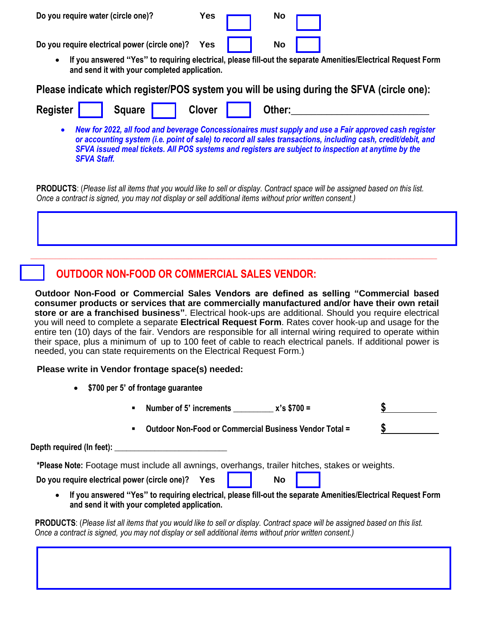**Do** you require water (circle one)? **Yes Yes No** 



• **If you answered "Yes" to requiring electrical, please fill-out the separate Amenities/Electrical Request Form and send it with your completed application.**

**Please indicate which register/POS system you will be using during the SFVA (circle one):**

| Register | Square | Clover | Other: |  |
|----------|--------|--------|--------|--|
|          |        |        |        |  |

• *New for 2022, all food and beverage Concessionaires must supply and use a Fair approved cash register or accounting system (i.e. point of sale) to record all sales transactions, including cash, credit/debit, and SFVA issued meal tickets. All POS systems and registers are subject to inspection at anytime by the SFVA Staff.* 

**PRODUCTS**: (*Please list all items that you would like to sell or display. Contract space will be assigned based on this list. Once a contract is signed, you may not display or sell additional items without prior written consent.)*

# **OUTDOOR NON-FOOD OR COMMERCIAL SALES VENDOR:**

**Outdoor Non-Food or Commercial Sales Vendors are defined as selling "Commercial based consumer products or services that are commercially manufactured and/or have their own retail store or are a franchised business"**. Electrical hook-ups are additional. Should you require electrical you will need to complete a separate **Electrical Request Form**. Rates cover hook-up and usage for the entire ten (10) days of the fair. Vendors are responsible for all internal wiring required to operate within their space, plus a minimum of up to 100 feet of cable to reach electrical panels. If additional power is needed, you can state requirements on the Electrical Request Form.)

#### **Please write in Vendor frontage space(s) needed:**

- **\$700 per 5' of frontage guarantee**
- **Number of 5' increments \_\_\_\_\_\_\_\_\_\_ x's \$700 = \$**  ▪ **Outdoor Non-Food or Commercial Business Vendor Total = \$**  Depth required (In feet): **\*Please Note:** Footage must include all awnings, overhangs, trailer hitches, stakes or weights. **Do** you require electrical power (circle one)? Yes  $\parallel$  No
	- **If you answered "Yes" to requiring electrical, please fill-out the separate Amenities/Electrical Request Form and send it with your completed application.**

**PRODUCTS**: (*Please list all items that you would like to sell or display. Contract space will be assigned based on this list. Once a contract is signed, you may not display or sell additional items without prior written consent.)*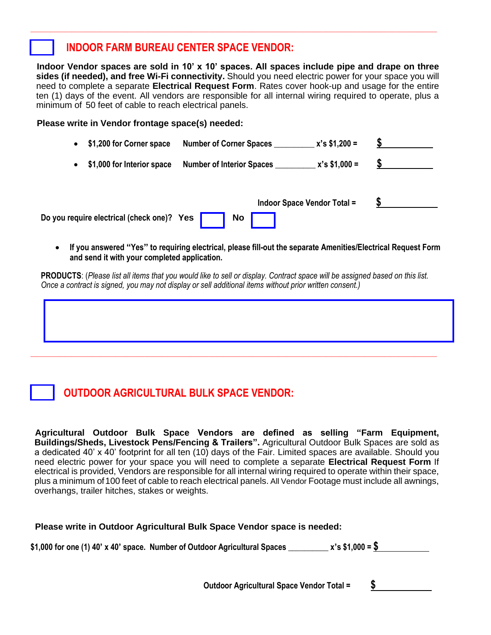### **INDOOR FARM BUREAU CENTER SPACE VENDOR:**

**Indoor Vendor spaces are sold in 10' x 10' spaces. All spaces include pipe and drape on three sides (if needed), and free Wi-Fi connectivity.** Should you need electric power for your space you will need to complete a separate **Electrical Request Form**. Rates cover hook-up and usage for the entire ten (1) days of the event. All vendors are responsible for all internal wiring required to operate, plus a minimum of 50 feet of cable to reach electrical panels.

**\_\_\_\_\_\_\_\_\_\_\_\_\_\_\_\_\_\_\_\_\_\_\_\_\_\_\_\_\_\_\_\_\_\_\_\_\_\_\_\_\_\_\_\_\_\_\_\_\_\_\_\_\_\_\_\_\_\_\_\_\_\_\_\_\_\_\_\_\_\_\_\_\_\_\_\_\_\_\_\_\_\_\_\_\_\_\_\_\_\_\_\_\_\_\_\_\_\_\_\_\_\_\_\_\_\_\_\_\_\_\_\_\_\_\_\_\_\_\_\_\_\_\_\_\_\_\_\_\_\_\_\_\_\_\_\_\_\_\_**

#### **Please write in Vendor frontage space(s) needed:**

| $x's $1,200 =$<br>\$1,200 for Corner space<br><b>Number of Corner Spaces</b><br>$\bullet$ |  |
|-------------------------------------------------------------------------------------------|--|
| $x's $1,000 =$<br>\$1,000 for Interior space<br><b>Number of Interior Spaces</b><br>٠     |  |
| <b>Indoor Space Vendor Total =</b>                                                        |  |
| Do you require electrical (check one)? Yes<br>No                                          |  |

• **If you answered "Yes" to requiring electrical, please fill-out the separate Amenities/Electrical Request Form and send it with your completed application.**

**PRODUCTS**: (*Please list all items that you would like to sell or display. Contract space will be assigned based on this list. Once a contract is signed, you may not display or sell additional items without prior written consent.)*

**\_\_\_\_\_\_\_\_\_\_\_\_\_\_\_\_\_\_\_\_\_\_\_\_\_\_\_\_\_\_\_\_\_\_\_\_\_\_\_\_\_\_\_\_\_\_\_\_\_\_\_\_\_\_\_\_\_\_\_\_\_\_\_\_\_\_\_\_\_\_\_\_\_\_\_\_\_\_\_\_\_\_\_\_\_\_\_\_\_\_\_\_\_\_\_\_\_\_\_\_\_\_\_\_\_\_\_\_\_\_\_\_\_\_\_\_\_\_\_\_\_\_\_\_\_\_\_\_\_\_\_\_\_\_\_\_\_\_\_**

# **OUTDOOR AGRICULTURAL BULK SPACE VENDOR:**

**Agricultural Outdoor Bulk Space Vendors are defined as selling "Farm Equipment, Buildings/Sheds, Livestock Pens/Fencing & Trailers".** Agricultural Outdoor Bulk Spaces are sold as a dedicated 40' x 40' footprint for all ten (10) days of the Fair. Limited spaces are available. Should you need electric power for your space you will need to complete a separate **Electrical Request Form** If electrical is provided, Vendors are responsible for all internal wiring required to operate within their space, plus a minimum of 100 feet of cable to reach electrical panels. All Vendor Footage must include all awnings, overhangs, trailer hitches, stakes or weights.

#### **Please write in Outdoor Agricultural Bulk Space Vendor space is needed:**

**\$1,000 for one (1) 40' x 40' space. Number of Outdoor Agricultural Spaces \_\_\_\_\_\_\_\_\_\_ x's \$1,000 = \$** 

 **Outdoor Agricultural Space Vendor Total = \$**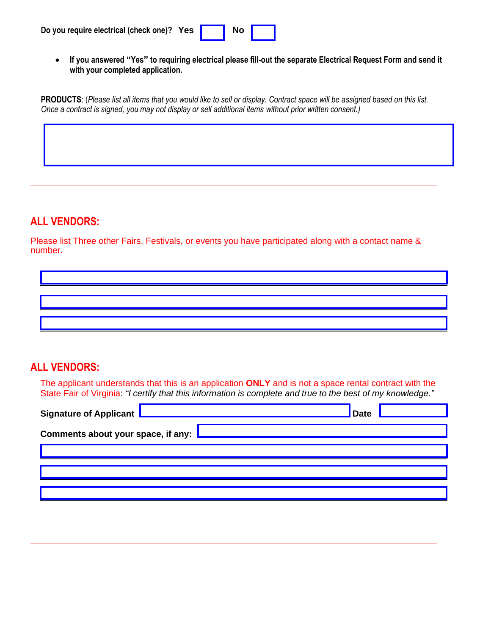• **If you answered "Yes" to requiring electrical please fill-out the separate Electrical Request Form and send it with your completed application.**

**PRODUCTS**: (*Please list all items that you would like to sell or display. Contract space will be assigned based on this list. Once a contract is signed, you may not display or sell additional items without prior written consent.)*

**\_\_\_\_\_\_\_\_\_\_\_\_\_\_\_\_\_\_\_\_\_\_\_\_\_\_\_\_\_\_\_\_\_\_\_\_\_\_\_\_\_\_\_\_\_\_\_\_\_\_\_\_\_\_\_\_\_\_\_\_\_\_\_\_\_\_\_\_\_\_\_\_\_\_\_\_\_\_\_\_\_\_\_\_\_\_\_\_\_\_\_\_\_\_\_\_\_\_\_\_\_\_\_\_\_\_\_\_\_\_\_\_\_\_\_\_\_\_\_\_\_\_\_\_\_\_\_\_\_\_\_\_\_\_\_\_\_\_\_**

### **ALL VENDORS:**

Please list Three other Fairs. Festivals, or events you have participated along with a contact name & number.

### **ALL VENDORS:**

The applicant understands that this is an application **ONLY** and is not a space rental contract with the State Fair of Virginia: *"I certify that this information is complete and true to the best of my knowledge."*

| Signature of Applicant               | <b>Date</b> |  |
|--------------------------------------|-------------|--|
| Comments about your space, if any: L |             |  |
|                                      |             |  |
|                                      |             |  |
|                                      |             |  |

**\_\_\_\_\_\_\_\_\_\_\_\_\_\_\_\_\_\_\_\_\_\_\_\_\_\_\_\_\_\_\_\_\_\_\_\_\_\_\_\_\_\_\_\_\_\_\_\_\_\_\_\_\_\_\_\_\_\_\_\_\_\_\_\_\_\_\_\_\_\_\_\_\_\_\_\_\_\_\_\_\_\_\_\_\_\_\_\_\_\_\_\_\_\_\_\_\_\_\_\_\_\_\_\_\_\_\_\_\_\_\_\_\_\_\_\_\_\_\_\_\_\_\_\_\_\_\_\_\_\_\_\_\_\_\_\_\_\_\_**